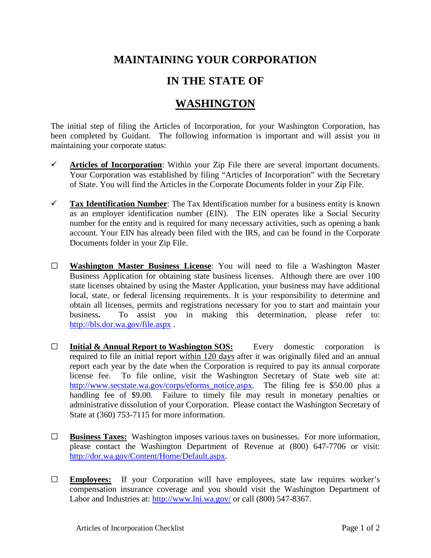## **MAINTAINING YOUR CORPORATION**

## **IN THE STATE OF**

## **WASHINGTON**

The initial step of filing the Articles of Incorporation, for your Washington Corporation, has been completed by Guidant. The following information is important and will assist you in maintaining your corporate status:

- $\checkmark$  Articles of Incorporation: Within your Zip File there are several important documents. Your Corporation was established by filing "Articles of Incorporation" with the Secretary of State. You will find the Articles in the Corporate Documents folder in your Zip File.
- **Tax Identification Number**: The Tax Identification number for a business entity is known as an employer identification number (EIN). The EIN operates like a Social Security number for the entity and is required for many necessary activities, such as opening a bank account. Your EIN has already been filed with the IRS, and can be found in the Corporate Documents folder in your Zip File.
- **□ Washington Master Business License**: You will need to file a Washington Master Business Application for obtaining state business licenses. Although there are over 100 state licenses obtained by using the Master Application, your business may have additional local, state, or federal licensing requirements. It is your responsibility to determine and obtain all licenses, permits and registrations necessary for you to start and maintain your business**.** To assist you in making this determination, please refer to: <http://bls.dor.wa.gov/file.aspx> .
- **□ Initial & Annual Report to Washington SOS:** Every domestic corporation is required to file an initial report within 120 days after it was originally filed and an annual report each year by the date when the Corporation is required to pay its annual corporate license fee. To file online, visit the Washington Secretary of State web site at: [http://www.secstate.wa.gov/corps/eforms\\_notice.aspx.](http://www.secstate.wa.gov/corps/eforms_notice.aspx) The filing fee is \$50.00 plus a handling fee of \$9.00. Failure to timely file may result in monetary penalties or administrative dissolution of your Corporation. Please contact the Washington Secretary of State at (360) 753-7115 for more information.
- **□ Business Taxes:** Washington imposes various taxes on businesses. For more information, please contact the Washington Department of Revenue at (800) 647-7706 or visit: [http://dor.wa.gov/Content/Home/Default.aspx.](http://dor.wa.gov/Content/Home/Default.aspx)
- **□ Employees:** If your Corporation will have employees, state law requires worker's compensation insurance coverage and you should visit the Washington Department of Labor and Industries at:<http://www.lni.wa.gov/> or call (800) 547-8367.